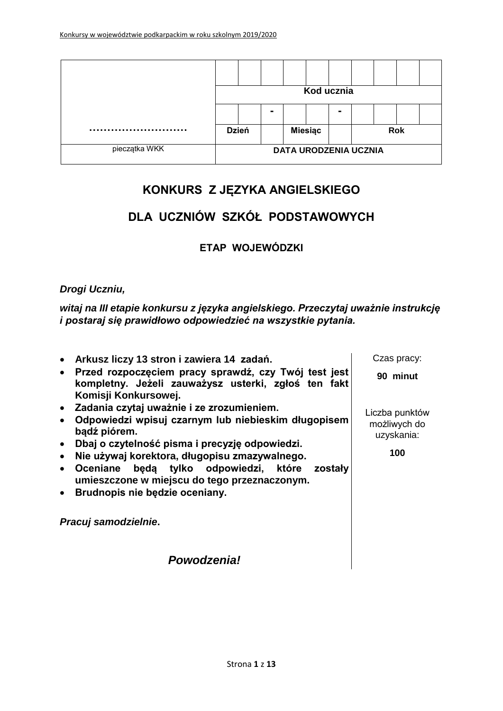|               | Kod ucznia                   |  |                |                |  |                |            |  |  |  |
|---------------|------------------------------|--|----------------|----------------|--|----------------|------------|--|--|--|
|               |                              |  | $\blacksquare$ |                |  | $\blacksquare$ |            |  |  |  |
|               | <b>Dzień</b>                 |  |                | <b>Miesiąc</b> |  |                | <b>Rok</b> |  |  |  |
| pieczątka WKK | <b>DATA URODZENIA UCZNIA</b> |  |                |                |  |                |            |  |  |  |

## **KONKURS Z JĘZYKA ANGIELSKIEGO**

## **DLA UCZNIÓW SZKÓŁ PODSTAWOWYCH**

### **ETAP WOJEWÓDZKI**

### *Drogi Uczniu,*

*witaj na III etapie konkursu z języka angielskiego. Przeczytaj uważnie instrukcję i postaraj się prawidłowo odpowiedzieć na wszystkie pytania.*

 **Arkusz liczy 13 stron i zawiera 14 zadań. Przed rozpoczęciem pracy sprawdź, czy Twój test jest kompletny. Jeżeli zauważysz usterki, zgłoś ten fakt Komisji Konkursowej. Zadania czytaj uważnie i ze zrozumieniem. Odpowiedzi wpisuj czarnym lub niebieskim długopisem bądź piórem. Dbaj o czytelność pisma i precyzję odpowiedzi. Nie używaj korektora, długopisu zmazywalnego. Oceniane będą tylko odpowiedzi, które zostały umieszczone w miejscu do tego przeznaczonym. Brudnopis nie będzie oceniany.** *Pracuj samodzielnie***.** Czas pracy: **90 minut** Liczba punktów możliwych do uzyskania: **100**

*Powodzenia!*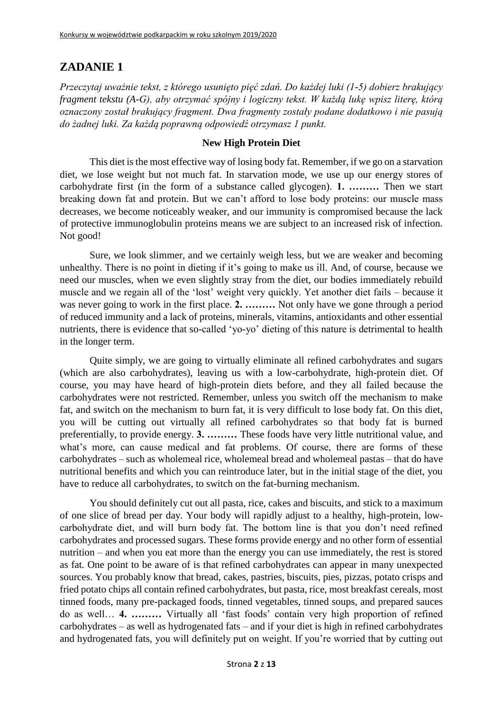*Przeczytaj uważnie tekst, z którego usunięto pięć zdań. Do każdej luki (1-5) dobierz brakujący fragment tekstu (A-G), aby otrzymać spójny i logiczny tekst. W każdą lukę wpisz literę, którą oznaczony został brakujący fragment. Dwa fragmenty zostały podane dodatkowo i nie pasują do żadnej luki. Za każdą poprawną odpowiedź otrzymasz 1 punkt.*

#### **New High Protein Diet**

This diet is the most effective way of losing body fat. Remember, if we go on a starvation diet, we lose weight but not much fat. In starvation mode, we use up our energy stores of carbohydrate first (in the form of a substance called glycogen). **1. ………** Then we start breaking down fat and protein. But we can't afford to lose body proteins: our muscle mass decreases, we become noticeably weaker, and our immunity is compromised because the lack of protective immunoglobulin proteins means we are subject to an increased risk of infection. Not good!

Sure, we look slimmer, and we certainly weigh less, but we are weaker and becoming unhealthy. There is no point in dieting if it's going to make us ill. And, of course, because we need our muscles, when we even slightly stray from the diet, our bodies immediately rebuild muscle and we regain all of the 'lost' weight very quickly. Yet another diet fails – because it was never going to work in the first place. **2. ………** Not only have we gone through a period of reduced immunity and a lack of proteins, minerals, vitamins, antioxidants and other essential nutrients, there is evidence that so-called 'yo-yo' dieting of this nature is detrimental to health in the longer term.

Quite simply, we are going to virtually eliminate all refined carbohydrates and sugars (which are also carbohydrates), leaving us with a low-carbohydrate, high-protein diet. Of course, you may have heard of high-protein diets before, and they all failed because the carbohydrates were not restricted. Remember, unless you switch off the mechanism to make fat, and switch on the mechanism to burn fat, it is very difficult to lose body fat. On this diet, you will be cutting out virtually all refined carbohydrates so that body fat is burned preferentially, to provide energy. **3. ………** These foods have very little nutritional value, and what's more, can cause medical and fat problems. Of course, there are forms of these carbohydrates – such as wholemeal rice, wholemeal bread and wholemeal pastas – that do have nutritional benefits and which you can reintroduce later, but in the initial stage of the diet, you have to reduce all carbohydrates, to switch on the fat-burning mechanism.

You should definitely cut out all pasta, rice, cakes and biscuits, and stick to a maximum of one slice of bread per day. Your body will rapidly adjust to a healthy, high-protein, lowcarbohydrate diet, and will burn body fat. The bottom line is that you don't need refined carbohydrates and processed sugars. These forms provide energy and no other form of essential nutrition – and when you eat more than the energy you can use immediately, the rest is stored as fat. One point to be aware of is that refined carbohydrates can appear in many unexpected sources. You probably know that bread, cakes, pastries, biscuits, pies, pizzas, potato crisps and fried potato chips all contain refined carbohydrates, but pasta, rice, most breakfast cereals, most tinned foods, many pre-packaged foods, tinned vegetables, tinned soups, and prepared sauces do as well… **4. ………** Virtually all 'fast foods' contain very high proportion of refined carbohydrates – as well as hydrogenated fats – and if your diet is high in refined carbohydrates and hydrogenated fats, you will definitely put on weight. If you're worried that by cutting out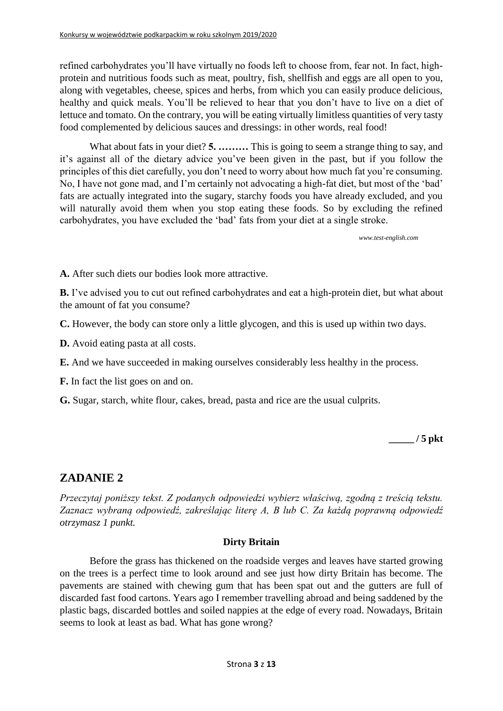refined carbohydrates you'll have virtually no foods left to choose from, fear not. In fact, highprotein and nutritious foods such as meat, poultry, fish, shellfish and eggs are all open to you, along with vegetables, cheese, spices and herbs, from which you can easily produce delicious, healthy and quick meals. You'll be relieved to hear that you don't have to live on a diet of lettuce and tomato. On the contrary, you will be eating virtually limitless quantities of very tasty food complemented by delicious sauces and dressings: in other words, real food!

What about fats in your diet? **5.** ......... This is going to seem a strange thing to say, and it's against all of the dietary advice you've been given in the past, but if you follow the principles of this diet carefully, you don't need to worry about how much fat you're consuming. No, I have not gone mad, and I'm certainly not advocating a high-fat diet, but most of the 'bad' fats are actually integrated into the sugary, starchy foods you have already excluded, and you will naturally avoid them when you stop eating these foods. So by excluding the refined carbohydrates, you have excluded the 'bad' fats from your diet at a single stroke.

*[www.test-english.com](http://www.test-english.com/)*

**A.** After such diets our bodies look more attractive.

**B.** I've advised you to cut out refined carbohydrates and eat a high-protein diet, but what about the amount of fat you consume?

**C.** However, the body can store only a little glycogen, and this is used up within two days.

**D.** Avoid eating pasta at all costs.

**E.** And we have succeeded in making ourselves considerably less healthy in the process.

**F.** In fact the list goes on and on.

**G.** Sugar, starch, white flour, cakes, bread, pasta and rice are the usual culprits.

**\_\_\_\_\_ / 5 pkt**

### **ZADANIE 2**

*Przeczytaj poniższy tekst. Z podanych odpowiedzi wybierz właściwą, zgodną z treścią tekstu. Zaznacz wybraną odpowiedź, zakreślając literę A, B lub C. Za każdą poprawną odpowiedź otrzymasz 1 punkt.*

#### **Dirty Britain**

Before the grass has thickened on the roadside verges and leaves have started growing on the trees is a perfect time to look around and see just how dirty Britain has become. The pavements are stained with chewing gum that has been spat out and the gutters are full of discarded fast food cartons. Years ago I remember travelling abroad and being saddened by the plastic bags, discarded bottles and soiled nappies at the edge of every road. Nowadays, Britain seems to look at least as bad. What has gone wrong?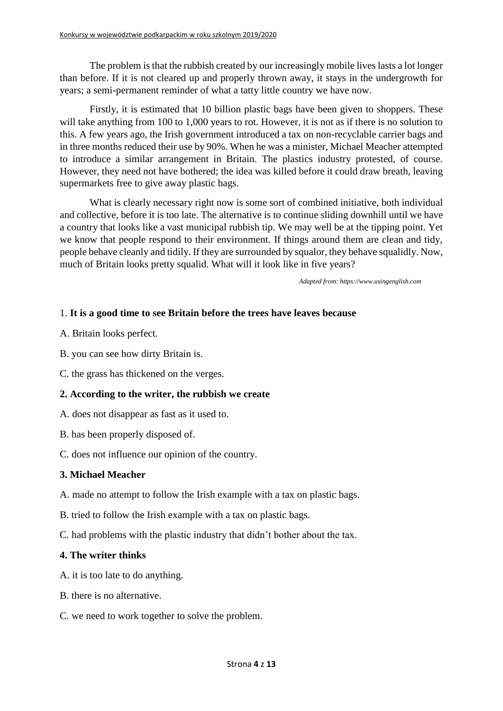The problem is that the rubbish created by our increasingly mobile lives lasts a lot longer than before. If it is not cleared up and properly thrown away, it stays in the undergrowth for years; a semi-permanent reminder of what a tatty little country we have now.

Firstly, it is estimated that 10 billion plastic bags have been given to shoppers. These will take anything from 100 to 1,000 years to rot. However, it is not as if there is no solution to this. A few years ago, the Irish government introduced a tax on non-recyclable carrier bags and in three months reduced their use by 90%. When he was a minister, Michael Meacher attempted to introduce a similar arrangement in Britain. The plastics industry protested, of course. However, they need not have bothered; the idea was killed before it could draw breath, leaving supermarkets free to give away plastic bags.

What is clearly necessary right now is some sort of combined initiative, both individual and collective, before it is too late. The alternative is to continue sliding downhill until we have a country that looks like a vast municipal rubbish tip. We may well be at the tipping point. Yet we know that people respond to their environment. If things around them are clean and tidy, people behave cleanly and tidily. If they are surrounded by squalor, they behave squalidly. Now, much of Britain looks pretty squalid. What will it look like in five years?

*Adapted from: [https://www.usingenglish.com](https://www.usingenglish.com/)*

#### 1. **It is a good time to see Britain before the trees have leaves because**

- A. Britain looks perfect.
- B. you can see how dirty Britain is.
- C. the grass has thickened on the verges.

#### **2. According to the writer, the rubbish we create**

- A. does not disappear as fast as it used to.
- B. has been properly disposed of.
- C. does not influence our opinion of the country.

#### **3. Michael Meacher**

- A. made no attempt to follow the Irish example with a tax on plastic bags.
- B. tried to follow the Irish example with a tax on plastic bags.
- C. had problems with the plastic industry that didn't bother about the tax.

#### **4. The writer thinks**

- A. it is too late to do anything.
- B. there is no alternative.
- C. we need to work together to solve the problem.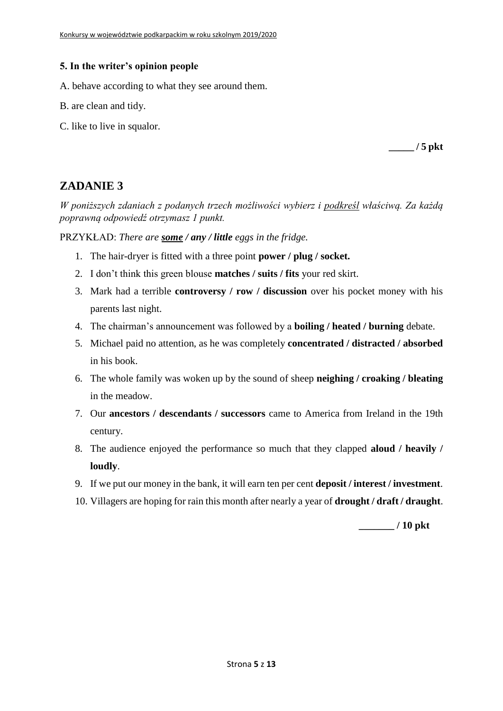#### **5. In the writer's opinion people**

- A. behave according to what they see around them.
- B. are clean and tidy.
- C. like to live in squalor.

**\_\_\_\_\_ / 5 pkt**

## **ZADANIE 3**

*W poniższych zdaniach z podanych trzech możliwości wybierz i podkreśl właściwą. Za każdą poprawną odpowiedź otrzymasz 1 punkt.*

PRZYKŁAD: *There are some / any / little eggs in the fridge.*

- 1. The hair-dryer is fitted with a three point **power / plug / socket.**
- 2. I don't think this green blouse **matches / suits / fits** your red skirt.
- 3. Mark had a terrible **controversy / row / discussion** over his pocket money with his parents last night.
- 4. The chairman's announcement was followed by a **boiling / heated / burning** debate.
- 5. Michael paid no attention, as he was completely **concentrated / distracted / absorbed**  in his book.
- 6. The whole family was woken up by the sound of sheep **neighing / croaking / bleating**  in the meadow.
- 7. Our **ancestors / descendants / successors** came to America from Ireland in the 19th century.
- 8. The audience enjoyed the performance so much that they clapped **aloud / heavily / loudly**.
- 9. If we put our money in the bank, it will earn ten per cent **deposit / interest / investment**.
- 10. Villagers are hoping for rain this month after nearly a year of **drought / draft / draught**.

**\_\_\_\_\_\_\_ / 10 pkt**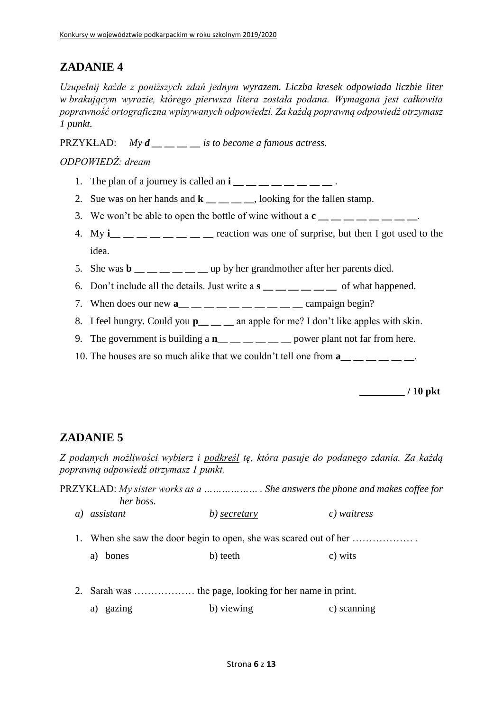*Uzupełnij każde z poniższych zdań jednym wyrazem. Liczba kresek odpowiada liczbie liter w brakującym wyrazie, którego pierwsza litera została podana. Wymagana jest całkowita poprawność ortograficzna wpisywanych odpowiedzi. Za każdą poprawną odpowiedź otrzymasz 1 punkt.*

PRZYKŁAD: *My d \_\_ \_\_ \_\_ \_\_ is to become a famous actress.*

### *ODPOWIEDŹ: dream*

- 1. The plan of a journey is called an **i**  $\cdot$
- 2. Sue was on her hands and **k**, looking for the fallen stamp.
- 3. We won't be able to open the bottle of wine without a  $c_{\text{max}} = 2$ ,  $c_{\text{max}} = 2$ .
- 4. My **i\_\_ \_\_ \_\_ \_\_ \_\_ \_\_ \_\_ \_\_** reaction was one of surprise, but then I got used to the idea.
- 5. She was  $\mathbf{b}$   $\_\_\_\_\_\_\_\_\_\_\_\_\_\_\_\_\_\_\_\$  up by her grandmother after her parents died.
- 6. Don't include all the details. Just write a **s \_\_ \_\_ \_\_ \_\_ \_\_ \_\_** of what happened.
- 7. When does our new  $\mathbf{a}_{\text{max}} = 1$  and  $\mathbf{a}_{\text{max}} = 1$  ampaign begin?
- 8. I feel hungry. Could you **p** an apple for me? I don't like apples with skin.
- 9. The government is building a **n\_\_ \_\_ \_\_ \_\_ \_\_ \_\_** power plant not far from here.
- 10. The houses are so much alike that we couldn't tell one from **a**

**\_\_\_\_\_\_\_\_\_ / 10 pkt**

## **ZADANIE 5**

*Z podanych możliwości wybierz i podkreśl tę, która pasuje do podanego zdania. Za każdą poprawną odpowiedź otrzymasz 1 punkt.*

|    | her boss.   |              | PRZYKŁAD: My sister works as a      She answers the phone and makes coffee for |
|----|-------------|--------------|--------------------------------------------------------------------------------|
| a) | assistant   | b) secretary | c) waitress                                                                    |
|    |             |              | 1. When she saw the door begin to open, she was scared out of her              |
|    | bones<br>a) | b) teeth     | c) wits                                                                        |
|    |             |              |                                                                                |

a) gazing b) viewing c) scanning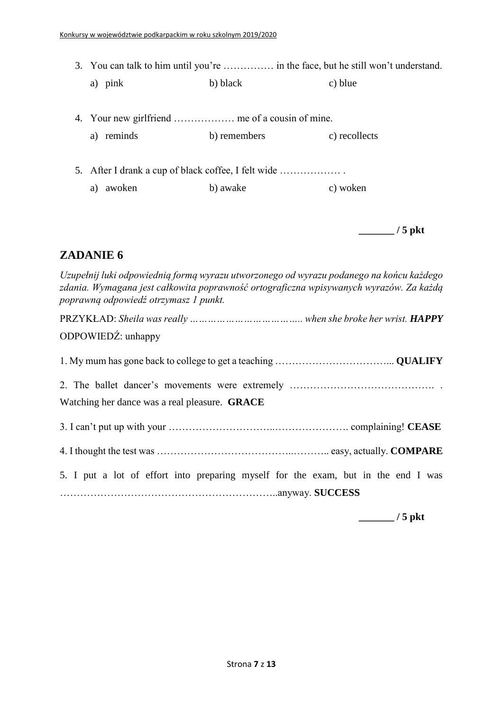- 3. You can talk to him until you're …………… in the face, but he still won't understand.
	- a) pink b) black c) blue
- 4. Your new girlfriend ……………… me of a cousin of mine.
	- a) reminds b) remembers c) recollects
- 5. After I drank a cup of black coffee, I felt wide ……………… . a) awoken b) awake c) woken

**\_\_\_\_\_\_\_ / 5 pkt**

### **ZADANIE 6**

*Uzupełnij luki odpowiednią formą wyrazu utworzonego od wyrazu podanego na końcu każdego zdania. Wymagana jest całkowita poprawność ortograficzna wpisywanych wyrazów. Za każdą poprawną odpowiedź otrzymasz 1 punkt.*

PRZYKŁAD: *Sheila was really ……………………………….. when she broke her wrist. HAPPY* ODPOWIEDŹ: unhappy 1. My mum has gone back to college to get a teaching ……………………………... **QUALIFY** 2. The ballet dancer's movements were extremely ……………………………………. . Watching her dance was a real pleasure. **GRACE** 3. I can't put up with your …………………………..…………………. complaining! **CEASE** 4. I thought the test was …………………………………..……….. easy, actually. **COMPARE** 5. I put a lot of effort into preparing myself for the exam, but in the end I was ………………………………………………………..anyway. **SUCCESS**

**\_\_\_\_\_\_\_ / 5 pkt**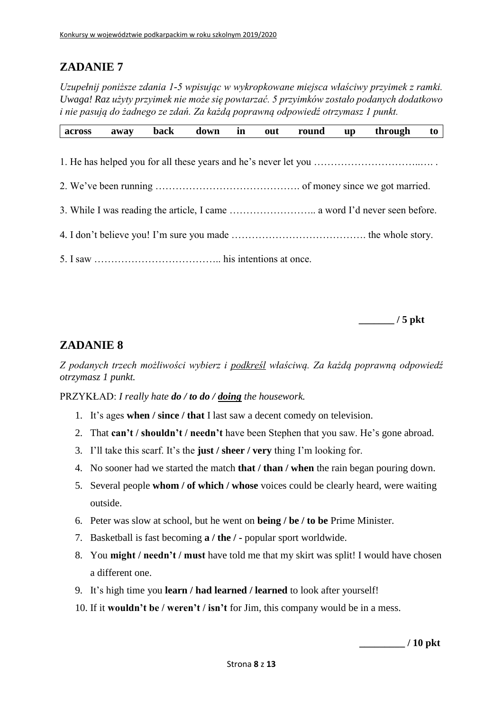*Uzupełnij poniższe zdania 1-5 wpisując w wykropkowane miejsca właściwy przyimek z ramki. Uwaga! Raz użyty przyimek nie może się powtarzać. 5 przyimków zostało podanych dodatkowo i nie pasują do żadnego ze zdań. Za każdą poprawną odpowiedź otrzymasz 1 punkt.*

| across | away | back | down | in | out | round | $\mathbf{u} \mathbf{p}$ | through | to |
|--------|------|------|------|----|-----|-------|-------------------------|---------|----|
|        |      |      |      |    |     |       |                         |         |    |
|        |      |      |      |    |     |       |                         |         |    |
|        |      |      |      |    |     |       |                         |         |    |
|        |      |      |      |    |     |       |                         |         |    |
|        |      |      |      |    |     |       |                         |         |    |
|        |      |      |      |    |     |       |                         |         |    |
|        |      |      |      |    |     |       |                         |         |    |

**\_\_\_\_\_\_\_ / 5 pkt**

### **ZADANIE 8**

*Z podanych trzech możliwości wybierz i podkreśl właściwą. Za każdą poprawną odpowiedź otrzymasz 1 punkt.*

PRZYKŁAD: *I really hate do / to do / doing the housework.*

- 1. It's ages **when / since / that** I last saw a decent comedy on television.
- 2. That **can't / shouldn't / needn't** have been Stephen that you saw. He's gone abroad.
- 3. I'll take this scarf. It's the **just / sheer / very** thing I'm looking for.
- 4. No sooner had we started the match **that / than / when** the rain began pouring down.
- 5. Several people **whom / of which / whose** voices could be clearly heard, were waiting outside.
- 6. Peter was slow at school, but he went on **being / be / to be** Prime Minister.
- 7. Basketball is fast becoming **a / the / -** popular sport worldwide.
- 8. You **might / needn't / must** have told me that my skirt was split! I would have chosen a different one.
- 9. It's high time you **learn / had learned / learned** to look after yourself!
- 10. If it **wouldn't be / weren't / isn't** for Jim, this company would be in a mess.

**\_\_\_\_\_\_\_\_\_ / 10 pkt**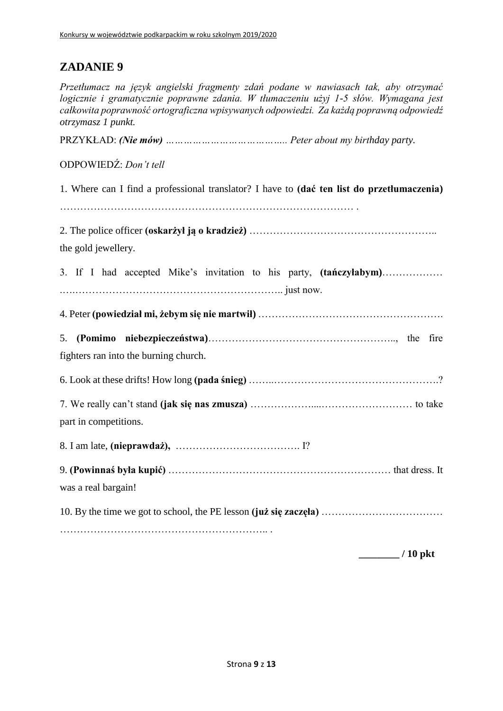*Przetłumacz na język angielski fragmenty zdań podane w nawiasach tak, aby otrzymać logicznie i gramatycznie poprawne zdania. W tłumaczeniu użyj 1-5 słów. Wymagana jest całkowita poprawność ortograficzna wpisywanych odpowiedzi. Za każdą poprawną odpowiedź otrzymasz 1 punkt.*

PRZYKŁAD: *(Nie mów) ………………………………….. Peter about my birthday party.*

### ODPOWIEDŹ: *Don't tell*

1. Where can I find a professional translator? I have to **(dać ten list do przetłumaczenia)**

…………………………………………………………………………… .

2. The police officer **(oskarżył ją o kradzież)** ……………………………………………….. the gold jewellery.

3. If I had accepted Mike's invitation to his party, **(tańczyłabym)**……………… .….…………………………………………………….. just now.

4. Peter **(powiedział mi, żebym się nie martwił)** ……………………………………………….

5. **(Pomimo niebezpieczeństwa)**……………………………………………….., the fire fighters ran into the burning church.

6. Look at these drifts! How long **(pada śnieg)** ……..………………………………………….? 7. We really can't stand **(jak się nas zmusza)** ………………....……………………… to take

part in competitions.

8. I am late, **(nieprawdaż),** ………………………………. I?

9. **(Powinnaś była kupić)** ………………………………………………………… that dress. It was a real bargain!

10. By the time we got to school, the PE lesson **(już się zaczęła)** ………………………………

…………………………………………………….. .

**\_\_\_\_\_\_\_\_ / 10 pkt**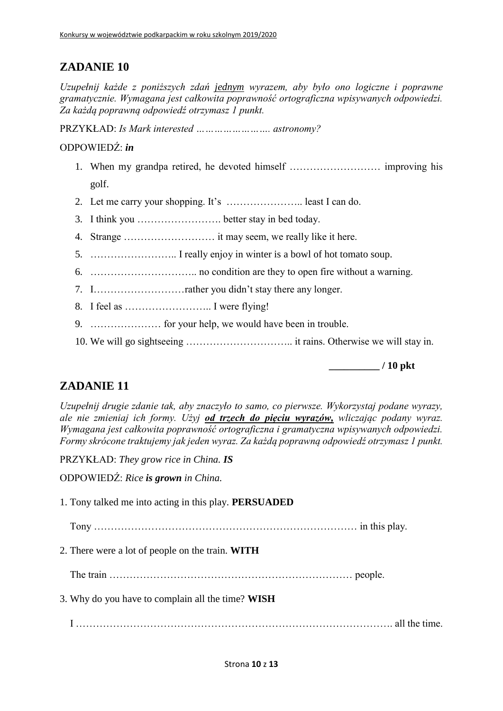*Uzupełnij każde z poniższych zdań jednym wyrazem, aby było ono logiczne i poprawne gramatycznie. Wymagana jest całkowita poprawność ortograficzna wpisywanych odpowiedzi. Za każdą poprawną odpowiedź otrzymasz 1 punkt.*

PRZYKŁAD: *Is Mark interested ……………………. astronomy?*

### ODPOWIEDŹ: *in*

- 1. When my grandpa retired, he devoted himself ……………………… improving his golf.
- 2. Let me carry your shopping. It's ………………….. least I can do.
- 3. I think you ……………………. better stay in bed today.
- 4. Strange ……………………… it may seem, we really like it here.
- 5. …………………….. I really enjoy in winter is a bowl of hot tomato soup.
- 6. ………………………….. no condition are they to open fire without a warning.
- 7. I………………………rather you didn't stay there any longer.
- 8. I feel as …………………….. I were flying!
- 9. ………………… for your help, we would have been in trouble.
- 10. We will go sightseeing ………………………….. it rains. Otherwise we will stay in.

**\_\_\_\_\_\_\_\_\_\_ / 10 pkt**

## **ZADANIE 11**

*Uzupełnij drugie zdanie tak, aby znaczyło to samo, co pierwsze. Wykorzystaj podane wyrazy, ale nie zmieniaj ich formy. Użyj od trzech do pięciu wyrazów, wliczając podany wyraz. Wymagana jest całkowita poprawność ortograficzna i gramatyczna wpisywanych odpowiedzi. Formy skrócone traktujemy jak jeden wyraz. Za każdą poprawną odpowiedź otrzymasz 1 punkt.*

PRZYKŁAD: *They grow rice in China. IS*

ODPOWIEDŹ: *Rice is grown in China.*

1. Tony talked me into acting in this play. **PERSUADED**

Tony …………………………………………………………………… in this play.

- 2. There were a lot of people on the train. **WITH**
	- The train ……………………………………………………………… people.
- 3. Why do you have to complain all the time? **WISH**

I …………………………………………………………………………………. all the time.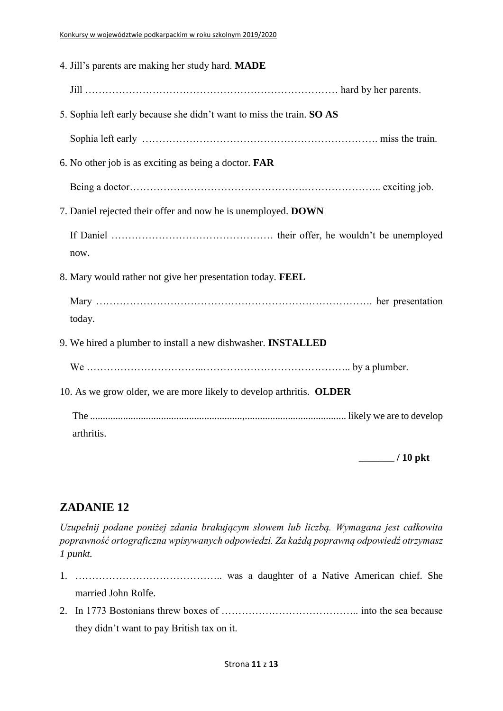| 4. Jill's parents are making her study hard. MADE                     |  |
|-----------------------------------------------------------------------|--|
|                                                                       |  |
| 5. Sophia left early because she didn't want to miss the train. SO AS |  |
|                                                                       |  |
| 6. No other job is as exciting as being a doctor. <b>FAR</b>          |  |
|                                                                       |  |
| 7. Daniel rejected their offer and now he is unemployed. DOWN         |  |
|                                                                       |  |
| now.                                                                  |  |
| 8. Mary would rather not give her presentation today. FEEL            |  |
|                                                                       |  |
| today.                                                                |  |
| 9. We hired a plumber to install a new dishwasher. <b>INSTALLED</b>   |  |
|                                                                       |  |
| 10. As we grow older, we are more likely to develop arthritis. OLDER  |  |
|                                                                       |  |
| arthritis.                                                            |  |

**\_\_\_\_\_\_\_ / 10 pkt**

## **ZADANIE 12**

*Uzupełnij podane poniżej zdania brakującym słowem lub liczbą. Wymagana jest całkowita poprawność ortograficzna wpisywanych odpowiedzi. Za każdą poprawną odpowiedź otrzymasz 1 punkt.*

- 1. …………………………………….. was a daughter of a Native American chief. She married John Rolfe.
- 2. In 1773 Bostonians threw boxes of ………………………………….. into the sea because they didn't want to pay British tax on it.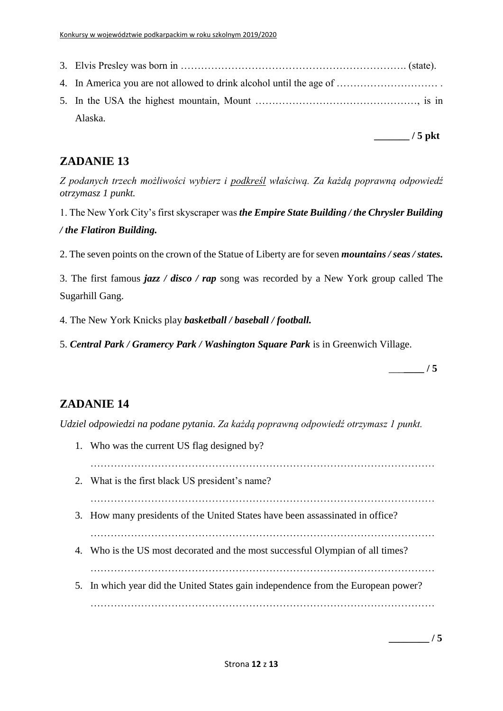| Alaska. |
|---------|

**\_\_\_\_\_\_\_ / 5 pkt**

## **ZADANIE 13**

*Z podanych trzech możliwości wybierz i podkreśl właściwą. Za każdą poprawną odpowiedź otrzymasz 1 punkt.*

1. The New York City's first skyscraper was *the Empire State Building / the Chrysler Building / the Flatiron Building.*

2. The seven points on the crown of the Statue of Liberty are for seven *mountains / seas / states.*

3. The first famous *jazz / disco / rap* song was recorded by a New York group called The Sugarhill Gang.

4. The New York Knicks play *basketball / baseball / football.*

5. *Central Park / Gramercy Park / Washington Square Park* is in Greenwich Village.

\_\_\_**\_\_\_\_ / 5**

## **ZADANIE 14**

*Udziel odpowiedzi na podane pytania. Za każdą poprawną odpowiedź otrzymasz 1 punkt.*

1. Who was the current US flag designed by? ………………………………………………………………………………………… 2. What is the first black US president's name? ………………………………………………………………………………………… 3. How many presidents of the United States have been assassinated in office? ………………………………………………………………………………………… 4. Who is the US most decorated and the most successful Olympian of all times? ………………………………………………………………………………………… 5. In which year did the United States gain independence from the European power? …………………………………………………………………………………………

**\_\_\_\_\_\_\_\_ / 5**